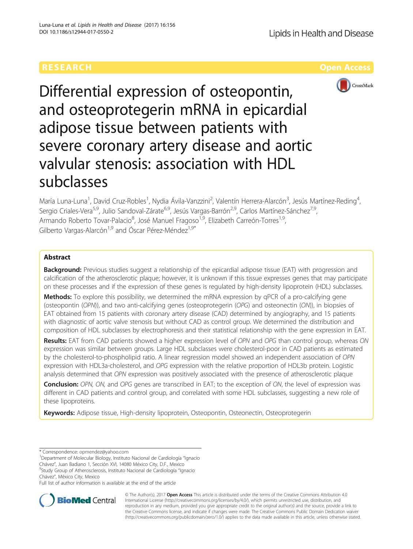# RESEARCH **RESEARCH CONSUMING THE CONSUMING THE CONSUMING TENS**



Differential expression of osteopontin, and osteoprotegerin mRNA in epicardial adipose tissue between patients with severe coronary artery disease and aortic valvular stenosis: association with HDL subclasses

María Luna-Luna<sup>1</sup>, David Cruz-Robles<sup>1</sup>, Nydia Ávila-Vanzzini<sup>2</sup>, Valentín Herrera-Alarcón<sup>3</sup>, Jesús Martínez-Reding<sup>4</sup> , Sergio Criales-Vera<sup>5,9</sup>, Julio Sandoval-Zárate<sup>6,9</sup>, Jesús Vargas-Barrón<sup>2,9</sup>, Carlos Martínez-Sánchez<sup>7,9</sup>, Armando Roberto Tovar-Palacio<sup>8</sup>, José Manuel Fragoso<sup>1,9</sup>, Elizabeth Carreón-Torres<sup>1,9</sup>, Gilberto Vargas-Alarcón<sup>1,9</sup> and Óscar Pérez-Méndez<sup>1,9\*</sup>

## Abstract

**Background:** Previous studies suggest a relationship of the epicardial adipose tissue (EAT) with progression and calcification of the atherosclerotic plaque; however, it is unknown if this tissue expresses genes that may participate on these processes and if the expression of these genes is regulated by high-density lipoprotein (HDL) subclasses.

Methods: To explore this possibility, we determined the mRNA expression by qPCR of a pro-calcifying gene (osteopontin (OPN)), and two anti-calcifying genes (osteoprotegerin (OPG) and osteonectin (ON)), in biopsies of EAT obtained from 15 patients with coronary artery disease (CAD) determined by angiography, and 15 patients with diagnostic of aortic valve stenosis but without CAD as control group. We determined the distribution and composition of HDL subclasses by electrophoresis and their statistical relationship with the gene expression in EAT.

Results: EAT from CAD patients showed a higher expression level of OPN and OPG than control group, whereas ON expression was similar between groups. Large HDL subclasses were cholesterol-poor in CAD patients as estimated by the cholesterol-to-phospholipid ratio. A linear regression model showed an independent association of OPN expression with HDL3a-cholesterol, and OPG expression with the relative proportion of HDL3b protein. Logistic analysis determined that OPN expression was positively associated with the presence of atherosclerotic plaque

**Conclusion:** OPN, ON, and OPG genes are transcribed in EAT; to the exception of ON, the level of expression was different in CAD patients and control group, and correlated with some HDL subclasses, suggesting a new role of these lipoproteins.

Keywords: Adipose tissue, High-density lipoprotein, Osteopontin, Osteonectin, Osteoprotegerin

<sup>9</sup>Study Group of Atherosclerosis, Instituto Nacional de Cardiología "Ignacio

Chávez", México City, Mexico

Full list of author information is available at the end of the article



© The Author(s). 2017 **Open Access** This article is distributed under the terms of the Creative Commons Attribution 4.0 International License [\(http://creativecommons.org/licenses/by/4.0/](http://creativecommons.org/licenses/by/4.0/)), which permits unrestricted use, distribution, and reproduction in any medium, provided you give appropriate credit to the original author(s) and the source, provide a link to the Creative Commons license, and indicate if changes were made. The Creative Commons Public Domain Dedication waiver [\(http://creativecommons.org/publicdomain/zero/1.0/](http://creativecommons.org/publicdomain/zero/1.0/)) applies to the data made available in this article, unless otherwise stated.

<sup>\*</sup> Correspondence: [opmendez@yahoo.com](mailto:opmendez@yahoo.com) <sup>1</sup>

Department of Molecular Biology, Instituto Nacional de Cardiología "Ignacio Chávez", Juan Badiano 1, Sección XVI, 14080 México City, D.F., Mexico <sup>9</sup>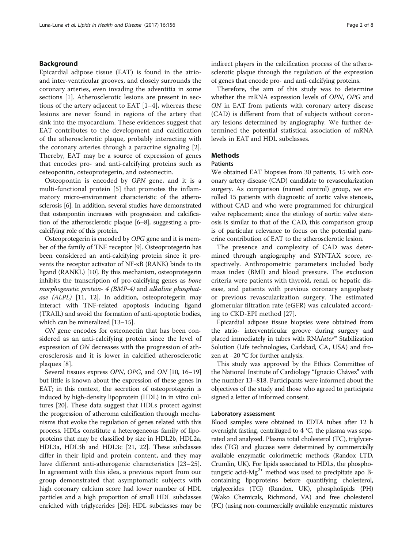## Background

Epicardial adipose tissue (EAT) is found in the atrioand inter-ventricular grooves, and closely surrounds the coronary arteries, even invading the adventitia in some sections [\[1](#page-6-0)]. Atherosclerotic lesions are present in sections of the artery adjacent to EAT  $[1-4]$  $[1-4]$  $[1-4]$  $[1-4]$ , whereas these lesions are never found in regions of the artery that sink into the myocardium. These evidences suggest that EAT contributes to the development and calcification of the atherosclerotic plaque, probably interacting with the coronary arteries through a paracrine signaling [\[2](#page-6-0)]. Thereby, EAT may be a source of expression of genes that encodes pro- and anti-calcifying proteins such as osteopontin, osteoprotegerin, and osteonectin.

Osteopontin is encoded by OPN gene, and it is a multi-functional protein [[5\]](#page-6-0) that promotes the inflammatory micro-environment characteristic of the atherosclerosis [\[6\]](#page-6-0). In addition, several studies have demonstrated that osteopontin increases with progression and calcification of the atherosclerotic plaque [\[6](#page-6-0)–[8](#page-6-0)], suggesting a procalcifying role of this protein.

Osteoprotegerin is encoded by OPG gene and it is member of the family of TNF receptor [[9](#page-6-0)]. Osteoprotegerin has been considered an anti-calcifying protein since it prevents the receptor activator of NF-κB (RANK) binds to its ligand (RANKL) [[10](#page-6-0)]. By this mechanism, osteoprotegerin inhibits the transcription of pro-calcifying genes as bone morphogenetic protein- 4 (BMP-4) and alkaline phosphatase (ALPL) [\[11, 12](#page-6-0)]. In addition, osteoprotegerin may interact with TNF-related apoptosis inducing ligand (TRAIL) and avoid the formation of anti-apoptotic bodies, which can be mineralized [\[13](#page-6-0)–[15](#page-6-0)].

ON gene encodes for osteonectin that has been considered as an anti-calcifying protein since the level of expression of ON decreases with the progression of atherosclerosis and it is lower in calcified atherosclerotic plaques [\[8](#page-6-0)].

Several tissues express OPN, OPG, and ON [\[10, 16](#page-6-0)–[19](#page-7-0)] but little is known about the expression of these genes in EAT; in this context, the secretion of osteoprotegerin is induced by high-density lipoprotein (HDL) in in vitro cultures [\[20](#page-7-0)]. These data suggest that HDLs protect against the progression of atheroma calcification through mechanisms that evoke the regulation of genes related with this process. HDLs constitute a heterogeneous family of lipoproteins that may be classified by size in HDL2b, HDL2a, HDL3a, HDL3b and HDL3c [[21](#page-7-0), [22\]](#page-7-0). These subclasses differ in their lipid and protein content, and they may have different anti-atherogenic characteristics [\[23](#page-7-0)–[25](#page-7-0)]. In agreement with this idea, a previous report from our group demonstrated that asymptomatic subjects with high coronary calcium score had lower number of HDL particles and a high proportion of small HDL subclasses enriched with triglycerides [[26](#page-7-0)]; HDL subclasses may be indirect players in the calcification process of the atherosclerotic plaque through the regulation of the expression of genes that encode pro- and anti-calcifying proteins.

Therefore, the aim of this study was to determine whether the mRNA expression levels of OPN, OPG and ON in EAT from patients with coronary artery disease (CAD) is different from that of subjects without coronary lesions determined by angiography. We further determined the potential statistical association of mRNA levels in EAT and HDL subclasses.

## Methods

### **Patients**

We obtained EAT biopsies from 30 patients, 15 with coronary artery disease (CAD) candidate to revascularization surgery. As comparison (named control) group, we enrolled 15 patients with diagnostic of aortic valve stenosis, without CAD and who were programmed for chirurgical valve replacement; since the etiology of aortic valve stenosis is similar to that of the CAD, this comparison group is of particular relevance to focus on the potential paracrine contribution of EAT to the atherosclerotic lesion.

The presence and complexity of CAD was determined through angiography and SYNTAX score, respectively. Anthropometric parameters included body mass index (BMI) and blood pressure. The exclusion criteria were patients with thyroid, renal, or hepatic disease, and patients with previous coronary angioplasty or previous revascularization surgery. The estimated glomerular filtration rate (eGFR) was calculated according to CKD-EPI method [\[27](#page-7-0)].

Epicardial adipose tissue biopsies were obtained from the atrio- interventricular groove during surgery and placed immediately in tubes with RNAlater<sup>™</sup> Stabilization Solution (Life technologies, Carlsbad, CA, USA) and frozen at −20 °C for further analysis.

This study was approved by the Ethics Committee of the National Institute of Cardiology "Ignacio Chávez" with the number 13–818. Participants were informed about the objectives of the study and those who agreed to participate signed a letter of informed consent.

#### Laboratory assessment

Blood samples were obtained in EDTA tubes after 12 h overnight fasting, centrifuged to 4 °C, the plasma was separated and analyzed. Plasma total cholesterol (TC), triglycerides (TG) and glucose were determined by commercially available enzymatic colorimetric methods (Randox LTD, Crumlin, UK). For lipids associated to HDLs, the phosphotungstic acid- $Mg^{2+}$  method was used to precipitate apo Bcontaining lipoproteins before quantifying cholesterol, triglycerides (TG) (Randox, UK), phospholipids (PH) (Wako Chemicals, Richmond, VA) and free cholesterol (FC) (using non-commercially available enzymatic mixtures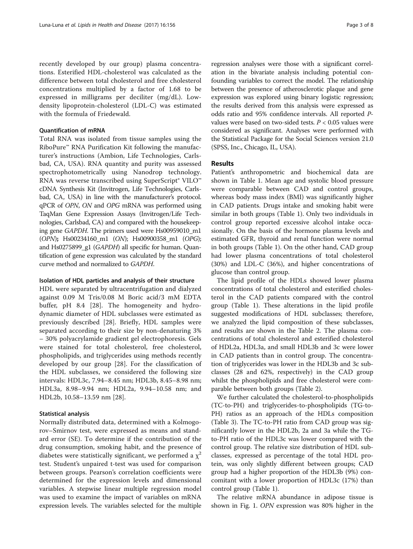recently developed by our group) plasma concentrations. Esterified HDL-cholesterol was calculated as the difference between total cholesterol and free cholesterol concentrations multiplied by a factor of 1.68 to be expressed in milligrams per deciliter (mg/dL). Lowdensity lipoprotein-cholesterol (LDL-C) was estimated with the formula of Friedewald.

## Quantification of mRNA

Total RNA was isolated from tissue samples using the RiboPure™ RNA Purification Kit following the manufacturer's instructions (Ambion, Life Technologies, Carlsbad, CA, USA). RNA quantity and purity was assessed spectrophotometrically using Nanodrop technology. RNA was reverse transcribed using SuperScript® VILO™ cDNA Synthesis Kit (Invitrogen, Life Technologies, Carlsbad, CA, USA) in line with the manufacturer's protocol. qPCR of OPN, ON and OPG mRNA was performed using TaqMan Gene Expression Assays (Invitrogen/Life Technologies, Carlsbad, CA) and compared with the housekeeping gene GAPDH. The primers used were Hs00959010\_m1 (OPN); Hs00234160\_m1 (ON); Hs00900358\_m1 (OPG); and Hs0275899\_g1 (GAPDH) all specific for human. Quantification of gene expression was calculated by the standard curve method and normalized to GAPDH.

#### Isolation of HDL particles and analysis of their structure

HDL were separated by ultracentrifugation and dialyzed against 0.09 M Tris/0.08 M Boric acid/3 mM EDTA buffer, pH 8.4 [[28](#page-7-0)]. The homogeneity and hydrodynamic diameter of HDL subclasses were estimated as previously described [\[28](#page-7-0)]. Briefly, HDL samples were separated according to their size by non-denaturing 3% – 30% polyacrylamide gradient gel electrophoresis. Gels were stained for total cholesterol, free cholesterol, phospholipids, and triglycerides using methods recently developed by our group [\[28](#page-7-0)]. For the classification of the HDL subclasses, we considered the following size intervals: HDL3c, 7.94–8.45 nm; HDL3b, 8.45–8.98 nm; HDL3a, 8.98–9.94 nm; HDL2a, 9.94–10.58 nm; and HDL2b, 10.58–13.59 nm [[28](#page-7-0)].

#### Statistical analysis

Normally distributed data, determined with a Kolmogorov–Smirnov test, were expressed as means and standard error (SE). To determine if the contribution of the drug consumption, smoking habit, and the presence of diabetes were statistically significant, we performed a  $\chi^2$ test. Student's unpaired t-test was used for comparison between groups. Pearson's correlation coefficients were determined for the expression levels and dimensional variables. A stepwise linear multiple regression model was used to examine the impact of variables on mRNA expression levels. The variables selected for the multiple

regression analyses were those with a significant correlation in the bivariate analysis including potential confounding variables to correct the model. The relationship between the presence of atherosclerotic plaque and gene expression was explored using binary logistic regression; the results derived from this analysis were expressed as odds ratio and 95% confidence intervals. All reported Pvalues were based on two-sided tests.  $P < 0.05$  values were considered as significant. Analyses were performed with the Statistical Package for the Social Sciences version 21.0 (SPSS, Inc., Chicago, IL, USA).

## Results

Patient's anthropometric and biochemical data are shown in Table [1.](#page-3-0) Mean age and systolic blood pressure were comparable between CAD and control groups, whereas body mass index (BMI) was significantly higher in CAD patients. Drugs intake and smoking habit were similar in both groups (Table [1](#page-3-0)). Only two individuals in control group reported excessive alcohol intake occasionally. On the basis of the hormone plasma levels and estimated GFR, thyroid and renal function were normal in both groups (Table [1\)](#page-3-0). On the other hand, CAD group had lower plasma concentrations of total cholesterol (30%) and LDL-C (36%), and higher concentrations of glucose than control group.

The lipid profile of the HDLs showed lower plasma concentrations of total cholesterol and esterified cholesterol in the CAD patients compared with the control group (Table [1\)](#page-3-0). These alterations in the lipid profile suggested modifications of HDL subclasses; therefore, we analyzed the lipid composition of these subclasses, and results are shown in the Table [2](#page-4-0). The plasma concentrations of total cholesterol and esterified cholesterol of HDL2a, HDL3a, and small HDL3b and 3c were lower in CAD patients than in control group. The concentration of triglycerides was lower in the HDL3b and 3c subclasses (28 and 62%, respectively) in the CAD group whilst the phospholipids and free cholesterol were comparable between both groups (Table [2\)](#page-4-0).

We further calculated the cholesterol-to-phospholipids (TC-to-PH) and triglycerides-to-phospholipids (TG-to-PH) ratios as an approach of the HDLs composition (Table [3](#page-4-0)). The TC-to-PH ratio from CAD group was significantly lower in the HDL2b, 2a and 3a while the TGto-PH ratio of the HDL3c was lower compared with the control group. The relative size distribution of HDL subclasses, expressed as percentage of the total HDL protein, was only slightly different between groups; CAD group had a higher proportion of the HDL3b (9%) concomitant with a lower proportion of HDL3c (17%) than control group (Table [1](#page-3-0)).

The relative mRNA abundance in adipose tissue is shown in Fig. [1](#page-5-0). OPN expression was 80% higher in the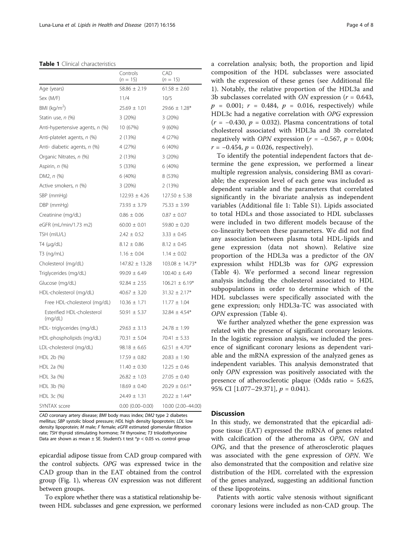#### <span id="page-3-0"></span>Table 1 Clinical characteristics

|                                       | Controls<br>$(n = 15)$ | CAD<br>$(n = 15)$   |
|---------------------------------------|------------------------|---------------------|
| Age (years)                           | $58.86 \pm 2.19$       | $61.58 \pm 2.60$    |
| Sex (M/F)                             | 11/4                   | 10/5                |
| BMI (kg/m <sup>2</sup> )              | $25.69 \pm 1.01$       | $29.66 \pm 1.28*$   |
| Statin use, n (%)                     | 3(20%)                 | 3(20%)              |
| Anti-hypertensive agents, n (%)       | 10 (67%)               | 9(60%)              |
| Anti-platelet agents, n (%)           | 2 (13%)                | 4 (27%)             |
| Anti- diabetic agents, n (%)          | 4 (27%)                | 6 (40%)             |
| Organic Nitrates, n (%)               | 2 (13%)                | 3(20%)              |
| Aspirin, n (%)                        | 5 (33%)                | 6 (40%)             |
| DM2, n (%)                            | 6(40%)                 | 8 (53%)             |
| Active smokers, n (%)                 | 3(20%)                 | 2(13%)              |
| SBP (mmHg)                            | $122.93 \pm 4.26$      | $127.50 \pm 5.38$   |
| DBP (mmHg)                            | $73.93 \pm 3.79$       | $75.33 \pm 3.99$    |
| Creatinine (mg/dL)                    | $0.86 \pm 0.06$        | $0.87 \pm 0.07$     |
| eGFR (mL/min/1.73 m2)                 | $60.00 \pm 0.01$       | $59.80 \pm 0.20$    |
| TSH (mIU/L)                           | $2.42 \pm 0.52$        | $3.33 \pm 0.45$     |
| T4 (µg/dL)                            | $8.12 \pm 0.86$        | $8.12 \pm 0.45$     |
| T3 (ng/mL)                            | $1.16 \pm 0.04$        | $1.14 \pm 0.02$     |
| Cholesterol (mg/dL)                   | $147.82 \pm 13.28$     | $103.08 \pm 14.73*$ |
| Triglycerides (mg/dL)                 | $99.09 \pm 6.49$       | $100.40 \pm 6.49$   |
| Glucose (mg/dL)                       | $92.84 \pm 2.55$       | $106.21 \pm 6.19*$  |
| HDL-cholesterol (mg/dL)               | $40.67 \pm 3.20$       | $31.32 \pm 2.17*$   |
| Free HDL-cholesterol (mg/dL)          | $10.36 \pm 1.71$       | $11.77 \pm 1.04$    |
| Esterified HDL-cholesterol<br>(mq/dL) | $50.91 \pm 5.37$       | $32.84 \pm 4.54*$   |
| HDL-triglycerides (mg/dL)             | $29.63 \pm 3.13$       | $24.78 \pm 1.99$    |
| HDL-phospholipids (mg/dL)             | $70.31 \pm 5.04$       | $70.41 \pm 5.33$    |
| LDL-cholesterol (mg/dL)               | $98.18 \pm 6.65$       | $62.51 \pm 4.70*$   |
| HDL 2b (%)                            | $17.59 \pm 0.82$       | $20.83 \pm 1.90$    |
| HDL 2a (%)                            | $11.40 \pm 0.30$       | $12.25 \pm 0.46$    |
| HDL 3a (%)                            | $26.82 \pm 1.03$       | $27.05 \pm 0.40$    |
| HDL 3b (%)                            | $18.69 \pm 0.40$       | $20.29 \pm 0.61*$   |
| HDL 3c (%)                            | $24.49 \pm 1.31$       | $20.22 \pm 1.44*$   |
| SYNTAX score                          | $0.00$ $(0.00 - 0.00)$ | 10.00 (2.00-44.00)  |

CAD coronary artery disease; BMI body mass index; DM2 type 2 diabetes mellitus; SBP systolic blood pressure; HDL high density lipoprotein; LDL low density lipoprotein; M male; F female; eGFR estimated glomerular filtration rate; TSH thyroid stimulating hormone; T4 thyroxine; T3 triiodothyronine Data are shown as mean  $\pm$  SE. Student's t test  $p$  < 0.05 vs. control group

epicardial adipose tissue from CAD group compared with the control subjects. OPG was expressed twice in the CAD group than in the EAT obtained from the control group (Fig. [1](#page-5-0)), whereas ON expression was not different between groups.

To explore whether there was a statistical relationship between HDL subclasses and gene expression, we performed a correlation analysis; both, the proportion and lipid composition of the HDL subclasses were associated with the expression of these genes (see Additional file [1\)](#page-6-0). Notably, the relative proportion of the HDL3a and 3b subclasses correlated with ON expression ( $r = 0.643$ ,  $p = 0.001$ ;  $r = 0.484$ ,  $p = 0.016$ , respectively) while HDL3c had a negative correlation with OPG expression  $(r = -0.430, p = 0.032)$ . Plasma concentrations of total cholesterol associated with HDL3a and 3b correlated negatively with OPN expression ( $r = -0.567$ ,  $p = 0.004$ ;  $r = -0.454$ ,  $p = 0.026$ , respectively).

To identify the potential independent factors that determine the gene expression, we performed a linear multiple regression analysis, considering BMI as covariable; the expression level of each gene was included as dependent variable and the parameters that correlated significantly in the bivariate analysis as independent variables (Additional file [1:](#page-6-0) Table S1). Lipids associated to total HDLs and those associated to HDL subclasses were included in two different models because of the co-linearity between these parameters. We did not find any association between plasma total HDL-lipids and gene expression (data not shown). Relative size proportion of the HDL3a was a predictor of the ON expression whilst HDL3b was for OPG expression (Table [4](#page-5-0)). We performed a second linear regression analysis including the cholesterol associated to HDL subpopulations in order to determine which of the HDL subclasses were specifically associated with the gene expression; only HDL3a-TC was associated with OPN expression (Table [4\)](#page-5-0).

We further analyzed whether the gene expression was related with the presence of significant coronary lesions. In the logistic regression analysis, we included the presence of significant coronary lesions as dependent variable and the mRNA expression of the analyzed genes as independent variables. This analysis demonstrated that only OPN expression was positively associated with the presence of atherosclerotic plaque (Odds ratio = 5.625, 95% CI  $[1.077-29.371]$ ,  $p = 0.041$ ).

## **Discussion**

In this study, we demonstrated that the epicardial adipose tissue (EAT) expressed the mRNA of genes related with calcification of the atheroma as OPN, ON and OPG, and that the presence of atherosclerotic plaques was associated with the gene expression of OPN. We also demonstrated that the composition and relative size distribution of the HDL correlated with the expression of the genes analyzed, suggesting an additional function of these lipoproteins.

Patients with aortic valve stenosis without significant coronary lesions were included as non-CAD group. The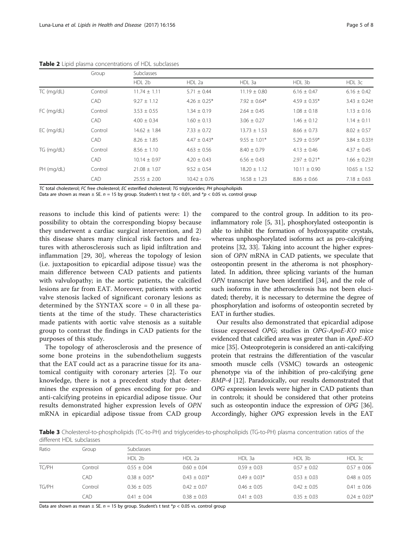|              | Group      | Subclasses       |                   |                  |                  |                              |
|--------------|------------|------------------|-------------------|------------------|------------------|------------------------------|
|              |            | HDL 2b           | HDL 2a            | HDL 3a           | HDL 3b           | HDL 3c                       |
| TC (mg/dL)   | Control    | $11.74 \pm 1.11$ | $5.71 \pm 0.44$   | $11.19 \pm 0.80$ | $6.16 \pm 0.47$  | $6.16 \pm 0.42$              |
|              | CAD        | $9.27 + 1.12$    | $4.26 \pm 0.25$ * | $7.92 \pm 0.64*$ | $4.59 \pm 0.35*$ | $3.43 \pm 0.24$ +            |
| FC (mg/dL)   | Control    | $3.53 \pm 0.55$  | $1.34 \pm 0.19$   | $2.64 \pm 0.45$  | $1.08 \pm 0.18$  | $1.13 \pm 0.16$              |
|              | CAD        | $4.00 \pm 0.34$  | $1.60 \pm 0.13$   | $3.06 \pm 0.27$  | $1.46 \pm 0.12$  | $1.14 \pm 0.11$              |
| $EC$ (mg/dL) | Control    | $14.62 + 1.84$   | $7.33 + 0.72$     | $13.73 + 1.53$   | $8.66 \pm 0.73$  | $8.02 + 0.57$                |
|              | CAD        | $8.26 \pm 1.85$  | $4.47 + 0.43*$    | $9.55 + 1.01*$   | $5.29 \pm 0.59*$ | $3.84 \pm 0.33$ +            |
| TG (mg/dL)   | Control    | $8.56 \pm 1.10$  | $4.63 \pm 0.56$   | $8.40 \pm 0.79$  | $4.13 \pm 0.46$  | $4.37 \pm 0.45$              |
|              | CAD        | $10.14 \pm 0.97$ | $4.20 \pm 0.43$   | $6.56 \pm 0.43$  | $2.97 \pm 0.21*$ | $1.66 \pm 0.23$ <sup>+</sup> |
| PH (mg/dL)   | Control    | $21.08 \pm 1.07$ | $9.52 \pm 0.54$   | $18.20 \pm 1.12$ | $10.11 \pm 0.90$ | $10.65 \pm 1.52$             |
|              | <b>CAD</b> | $25.55 \pm 2.00$ | $10.42 \pm 0.76$  | $16.58 \pm 1.23$ | $8.86 \pm 0.66$  | $7.18 \pm 0.63$              |

<span id="page-4-0"></span>Table 2 Lipid plasma concentrations of HDL subclasses

TC total cholesterol; FC free cholesterol; EC esterified cholesterol; TG triglycerides; PH phospholipids

Data are shown as mean  $\pm$  SE. n = 15 by group. Student's t test  $tp < 0.01$ , and  $\pi p < 0.05$  vs. control group

reasons to include this kind of patients were: 1) the possibility to obtain the corresponding biopsy because they underwent a cardiac surgical intervention, and 2) this disease shares many clinical risk factors and features with atherosclerosis such as lipid infiltration and inflammation [\[29](#page-7-0), [30](#page-7-0)], whereas the topology of lesion (i.e. juxtaposition to epicardial adipose tissue) was the main difference between CAD patients and patients with valvulopathy; in the aortic patients, the calcified lesions are far from EAT. Moreover, patients with aortic valve stenosis lacked of significant coronary lesions as determined by the SYNTAX score  $= 0$  in all these patients at the time of the study. These characteristics made patients with aortic valve stenosis as a suitable group to contrast the findings in CAD patients for the purposes of this study.

The topology of atherosclerosis and the presence of some bone proteins in the subendothelium suggests that the EAT could act as a paracrine tissue for its anatomical contiguity with coronary arteries [[2\]](#page-6-0). To our knowledge, there is not a precedent study that determines the expression of genes encoding for pro- and anti-calcifying proteins in epicardial adipose tissue. Our results demonstrated higher expression levels of OPN mRNA in epicardial adipose tissue from CAD group

compared to the control group. In addition to its proinflammatory role [\[5](#page-6-0), [31\]](#page-7-0), phosphorylated osteopontin is able to inhibit the formation of hydroxyapatite crystals, whereas unphosphorylated isoforms act as pro-calcifying proteins [\[32, 33](#page-7-0)]. Taking into account the higher expression of OPN mRNA in CAD patients, we speculate that osteopontin present in the atheroma is not phosphorylated. In addition, three splicing variants of the human OPN transcript have been identified [[34](#page-7-0)], and the role of such isoforms in the atherosclerosis has not been elucidated; thereby, it is necessary to determine the degree of phosphorylation and isoforms of osteopontin secreted by EAT in further studies.

Our results also demonstrated that epicardial adipose tissue expressed OPG; studies in OPG-ApoE-KO mice evidenced that calcified area was greater than in ApoE-KO mice [[35](#page-7-0)]. Osteoprotegerin is considered an anti-calcifying protein that restrains the differentiation of the vascular smooth muscle cells (VSMC) towards an osteogenic phenotype via of the inhibition of pro-calcifying gene BMP-4 [\[12\]](#page-6-0). Paradoxically, our results demonstrated that OPG expression levels were higher in CAD patients than in controls; it should be considered that other proteins such as osteopontin induce the expression of OPG [[36](#page-7-0)]. Accordingly, higher OPG expression levels in the EAT

Table 3 Cholesterol-to-phospholipids (TC-to-PH) and triglycerides-to-phospholipids (TG-to-PH) plasma concentration ratios of the different HDL subclasses

| Ratio | Group   | Subclasses     |                   |                |                 |                 |  |
|-------|---------|----------------|-------------------|----------------|-----------------|-----------------|--|
|       |         | $HDI$ 2b       | HDL <sub>2a</sub> | HDL 3a         | $HDI$ 3b        | HDL 3c          |  |
| TC/PH | Control | $0.55 + 0.04$  | $0.60 + 0.04$     | $0.59 + 0.03$  | $0.57 \pm 0.02$ | $0.57 \pm 0.06$ |  |
|       | CAD     | $0.38 + 0.05*$ | $0.43 + 0.03*$    | $0.49 + 0.03*$ | $0.53 + 0.03$   | $0.48 + 0.05$   |  |
| TG/PH | Control | $0.36 + 0.05$  | $0.42 + 0.07$     | $0.46 + 0.05$  | $0.42 + 0.05$   | $0.41 \pm 0.06$ |  |
|       | CAD     | $0.41 + 0.04$  | $0.38 + 0.03$     | $0.41 + 0.03$  | $0.35 + 0.03$   | $0.24 + 0.03*$  |  |

Data are shown as mean  $\pm$  SE.  $n = 15$  by group. Student's t test  $\pi p < 0.05$  vs. control group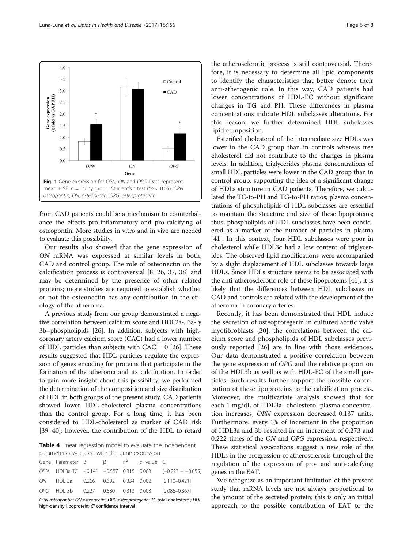<span id="page-5-0"></span>

from CAD patients could be a mechanism to counterbalance the effects pro-inflammatory and pro-calcifying of osteopontin. More studies in vitro and in vivo are needed to evaluate this possibility.

Our results also showed that the gene expression of ON mRNA was expressed at similar levels in both, CAD and control group. The role of osteonectin on the calcification process is controversial [[8,](#page-6-0) [26, 37, 38](#page-7-0)] and may be determined by the presence of other related proteins; more studies are required to establish whether or not the osteonectin has any contribution in the etiology of the atheroma.

A previous study from our group demonstrated a negative correlation between calcium score and HDL2a-, 3a- y 3b–phospholipids [\[26\]](#page-7-0). In addition, subjects with highcoronary artery calcium score (CAC) had a lower number of HDL particles than subjects with  $CAC = 0$  [\[26](#page-7-0)]. These results suggested that HDL particles regulate the expression of genes encoding for proteins that participate in the formation of the atheroma and its calcification. In order to gain more insight about this possibility, we performed the determination of the composition and size distribution of HDL in both groups of the present study. CAD patients showed lower HDL-cholesterol plasma concentrations than the control group. For a long time, it has been considered to HDL-cholesterol as marker of CAD risk [[39](#page-7-0), [40\]](#page-7-0); however, the contribution of the HDL to retard

Table 4 Linear regression model to evaluate the independent parameters associated with the gene expression

|                                                                                 | Gene Parameter B | $\beta$ |  |  | $r^2$ <i>p</i> -value CI   |                                                               |
|---------------------------------------------------------------------------------|------------------|---------|--|--|----------------------------|---------------------------------------------------------------|
|                                                                                 |                  |         |  |  |                            | OPN HDL3a-TC $-0.141$ $-0.587$ 0.315 0.003 $[-0.227 - 0.055]$ |
|                                                                                 | ON HDI 3a        |         |  |  |                            | 0.266 0.602 0.334 0.002 [0.110-0.421]                         |
|                                                                                 | $OPG$ HDI 3b     |         |  |  | 0.227  0.580  0.313  0.003 | $[0.086 - 0.367]$                                             |
| OPN osteopontin; ON osteonectin; OPG osteoprotegerin; TC total cholesterol; HDL |                  |         |  |  |                            |                                                               |

high-density lipoprotein; CI confidence interval

the atherosclerotic process is still controversial. Therefore, it is necessary to determine all lipid components to identify the characteristics that better denote their anti-atherogenic role. In this way, CAD patients had lower concentrations of HDL-EC without significant changes in TG and PH. These differences in plasma concentrations indicate HDL subclasses alterations. For this reason, we further determined HDL subclasses lipid composition.

Esterified cholesterol of the intermediate size HDLs was lower in the CAD group than in controls whereas free cholesterol did not contribute to the changes in plasma levels. In addition, triglycerides plasma concentrations of small HDL particles were lower in the CAD group than in control group, supporting the idea of a significant change of HDLs structure in CAD patients. Therefore, we calculated the TC-to-PH and TG-to-PH ratios; plasma concentrations of phospholipids of HDL subclasses are essential to maintain the structure and size of these lipoproteins; thus, phospholipids of HDL subclasses have been considered as a marker of the number of particles in plasma [[41](#page-7-0)]. In this context, four HDL subclasses were poor in cholesterol while HDL3c had a low content of triglycerides. The observed lipid modifications were accompanied by a slight displacement of HDL subclasses towards large HDLs. Since HDLs structure seems to be associated with the anti-atherosclerotic role of these lipoproteins [\[41\]](#page-7-0), it is likely that the differences between HDL subclasses in CAD and controls are related with the development of the atheroma in coronary arteries.

Recently, it has been demonstrated that HDL induce the secretion of osteoprotegerin in cultured aortic valve myofibroblasts [[20\]](#page-7-0); the correlations between the calcium score and phospholipids of HDL subclasses previously reported [[26\]](#page-7-0) are in line with those evidences. Our data demonstrated a positive correlation between the gene expression of OPG and the relative proportion of the HDL3b as well as with HDL-FC of the small particles. Such results further support the possible contribution of these lipoproteins to the calcification process. Moreover, the multivariate analysis showed that for each 1 mg/dL of HDL3a- cholesterol plasma concentration increases, OPN expression decreased 0.137 units. Furthermore, every 1% of increment in the proportion of HDL3a and 3b resulted in an increment of 0.273 and 0.222 times of the ON and OPG expression, respectively. These statistical associations suggest a new role of the HDLs in the progression of atherosclerosis through of the regulation of the expression of pro- and anti-calcifying genes in the EAT.

We recognize as an important limitation of the present study that mRNA levels are not always proportional to the amount of the secreted protein; this is only an initial approach to the possible contribution of EAT to the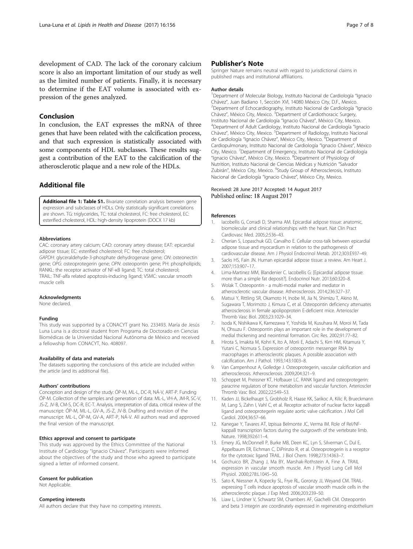<span id="page-6-0"></span>development of CAD. The lack of the coronary calcium score is also an important limitation of our study as well as the limited number of patients. Finally, it is necessary to determine if the EAT volume is associated with expression of the genes analyzed.

## Conclusion

In conclusion, the EAT expresses the mRNA of three genes that have been related with the calcification process, and that such expression is statistically associated with some components of HDL subclasses. These results suggest a contribution of the EAT to the calcification of the atherosclerotic plaque and a new role of the HDLs.

## Additional file

[Additional file 1: Table S1.](dx.doi.org/10.1186/s12944-017-0550-2) Bivariate correlation analysis between gene expression and subclasses of HDLs. Only statistically significant correlations are shown. TG: triglycerides, TC: total cholesterol, FC: free cholesterol, EC: esterified cholesterol, HDL: high-density lipoprotein (DOCX 17 kb)

#### Abbreviations

CAC: coronary artery calcium; CAD: coronary artery disease; EAT: epicardial adipose tissue; EC: esterified cholesterol; FC: free cholesterol; GAPDH: glyceraldehyde-3-phosphate dehydrogenase gene; ON: osteonectin gene; OPG: osteoprotegerin gene; OPN: osteopontin gene; PH: phospholipids; RANKL: the receptor activator of NF-κB ligand; TC: total cholesterol; TRAIL: TNF-alfa related apoptosis-inducing ligand; VSMC: vascular smooth muscle cells

#### Acknowledgments

None declared.

## Funding

This study was supported by a CONACYT grant No. 233493. María de Jesús Luna Luna is a doctoral student from Programa de Doctorado en Ciencias Biomédicas de la Universidad Nacional Autónoma de México and received a fellowship from CONACYT, No. 408097.

#### Availability of data and materials

The datasets supporting the conclusions of this article are included within the article (and its additional file).

#### Authors' contributions

Conception and design of the study: ÓP-M, ML-L, DC-R, NÁ-V, ART-P. Funding ÓP-M. Collection of the samples and generation of data: ML-L, VH-A, JM-R, SC-V, JS-Z, JV-B, CM-S, DC-R, EC-T. Analysis, interpretation of data, critical review of the manuscript: ÓP-M, ML-L, GV-A, JS-Z, JV-B. Drafting and revision of the manuscript: ML-L, ÓP-M, GV-A, ART-P, NÁ-V. All authors read and approved the final version of the manuscript.

#### Ethics approval and consent to participate

This study was approved by the Ethics Committee of the National Institute of Cardiology "Ignacio Chávez". Participants were informed about the objectives of the study and those who agreed to participate signed a letter of informed consent.

#### Consent for publication

Not Applicable.

#### Competing interests

All authors declare that they have no competing interests.

## Publisher's Note

Springer Nature remains neutral with regard to jurisdictional claims in published maps and institutional affiliations.

#### Author details

<sup>1</sup>Department of Molecular Biology, Instituto Nacional de Cardiología "Ignacic Chávez", Juan Badiano 1, Sección XVI, 14080 México City, D.F., Mexico. <sup>2</sup> Department of Echocardiography, Instituto Nacional de Cardiología "Ignacio Chávez", México City, Mexico. <sup>3</sup>Department of Cardiothoracic Surgery, Instituto Nacional de Cardiología "Ignacio Chávez", México City, Mexico. <sup>4</sup> Department of Adult Cardiology, Instituto Nacional de Cardiología "Ignacio Chávez", México City, Mexico. <sup>5</sup>Department of Radiology, Instituto Nacional de Cardiología "Ignacio Chávez", México City, Mexico. <sup>6</sup>Department of Cardiopulmonary, Instituto Nacional de Cardiología "Ignacio Chávez", México City, Mexico.<sup>7</sup> Department of Emergency, Instituto Nacional de Cardiología "Ignacio Chávez", México City, Mexico. <sup>8</sup>Department of Physiology of Nutrition, Instituto Nacional de Ciencias Médicas y Nutrición "Salvador Zubirán", México City, Mexico. <sup>9</sup>Study Group of Atherosclerosis, Institutc Nacional de Cardiología "Ignacio Chávez", México City, Mexico.

### Received: 28 June 2017 Accepted: 14 August 2017 Published online: 18 August 2017

#### References

- 1. Iacobellis G, Corradi D, Sharma AM. Epicardial adipose tissue: anatomic, biomolecular and clinical relationships with the heart. Nat Clin Pract Cardiovasc Med. 2005;2:536–43.
- 2. Cherian S, Lopaschuk GD, Carvalho E. Cellular cross-talk between epicardial adipose tissue and myocardium in relation to the pathogenesis of cardiovascular disease. Am J Physiol Endocrinol Metab. 2012;303:E937–49.
- 3. Sacks HS, Fain JN. Human epicardial adipose tissue: a review. Am Heart J. 2007;153:907–17.
- 4. Lima-Martinez MM, Blandenier C. Iacobellis G: [Epicardial adipose tissue: more than a simple fat deposit?]. Endocrinol Nutr. 2013;60:320–8.
- 5. Wolak T. Osteopontin a multi-modal marker and mediator in atherosclerotic vascular disease. Atherosclerosis. 2014;236:327–37.
- 6. Matsui Y, Rittling SR, Okamoto H, Inobe M, Jia N, Shimizu T, Akino M, Sugawara T, Morimoto J, Kimura C, et al. Osteopontin deficiency attenuates atherosclerosis in female apolipoprotein E-deficient mice. Arterioscler Thromb Vasc Biol. 2003;23:1029–34.
- 7. Isoda K, Nishikawa K, Kamezawa Y, Yoshida M, Kusuhara M, Moroi M, Tada N, Ohsuzu F. Osteopontin plays an important role in the development of medial thickening and neointimal formation. Circ Res. 2002;91:77–82.
- 8. Hirota S, Imakita M, Kohri K, Ito A, Morii E, Adachi S, Kim HM, Kitamura Y, Yutani C, Nomura S. Expression of osteopontin messenger RNA by macrophages in atherosclerotic plaques. A possible association with calcification. Am J Pathol. 1993;143:1003–8.
- 9. Van Campenhout A, Golledge J. Osteoprotegerin, vascular calcification and atherosclerosis. Atherosclerosis. 2009;204:321–9.
- 10. Schoppet M, Preissner KT, Hofbauer LC. RANK ligand and osteoprotegerin: paracrine regulators of bone metabolism and vascular function. Arterioscler Thromb Vasc Biol. 2002;22:549–53.
- 11. Kaden JJ, Bickelhaupt S, Grobholz R, Haase KK, Sarikoc A, Kilic R, Brueckmann M, Lang S, Zahn I, Vahl C, et al. Receptor activator of nuclear factor kappaB ligand and osteoprotegerin regulate aortic valve calcification. J Mol Cell Cardiol. 2004;36:57–66.
- 12. Kanegae Y, Tavares AT, Izpisua Belmonte JC, Verma IM. Role of Rel/NFkappaB transcription factors during the outgrowth of the vertebrate limb. Nature. 1998;392:611–4.
- 13. Emery JG, McDonnell P, Burke MB, Deen KC, Lyn S, Silverman C, Dul E, Appelbaum ER, Eichman C, DiPrinzio R, et al. Osteoprotegerin is a receptor for the cytotoxic ligand TRAIL. J Biol Chem. 1998;273:14363–7.
- 14. Gochuico BR, Zhang J, Ma BY, Marshak-Rothstein A, Fine A. TRAIL expression in vascular smooth muscle. Am J Physiol Lung Cell Mol Physiol. 2000;278:L1045–50.
- 15. Sato K, Niessner A, Kopecky SL, Frye RL, Goronzy JJ, Weyand CM. TRAILexpressing T cells induce apoptosis of vascular smooth muscle cells in the atherosclerotic plaque. J Exp Med. 2006;203:239–50.
- 16. Liaw L, Lindner V, Schwartz SM, Chambers AF, Giachelli CM. Osteopontin and beta 3 integrin are coordinately expressed in regenerating endothelium